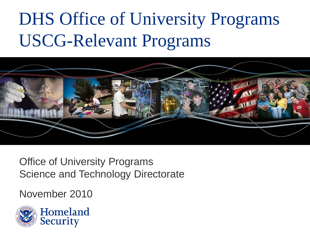## DHS Office of University Programs USCG-Relevant Programs



Office of University Programs Science and Technology Directorate

November 2010

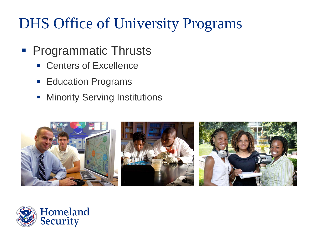## DHS Office of University Programs

- **Programmatic Thrusts** 
	- **Centers of Excellence**
	- **Education Programs**
	- **Minority Serving Institutions**



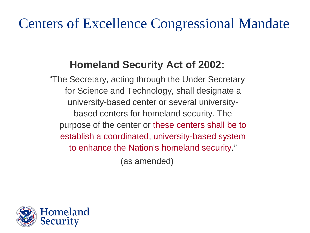## Centers of Excellence Congressional Mandate

### **Homeland Security Act of 2002:**

"The Secretary, acting through the Under Secretary for Science and Technology, shall designate a university-based center or several universitybased centers for homeland security. The purpose of the center or these centers shall be to establish a coordinated, university-based system to enhance the Nation's homeland security."

(as amended)

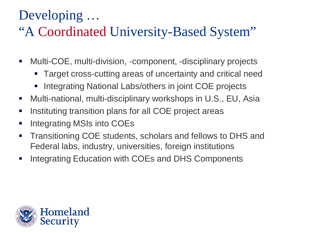## Developing …

## "A Coordinated University-Based System"

- Multi-COE, multi-division, -component, -disciplinary projects
	- Target cross-cutting areas of uncertainty and critical need
	- Integrating National Labs/others in joint COE projects
- Multi-national, multi-disciplinary workshops in U.S., EU, Asia
- **Instituting transition plans for all COE project areas**
- **Integrating MSIs into COEs**
- **Transitioning COE students, scholars and fellows to DHS and** Federal labs, industry, universities, foreign institutions
- **Integrating Education with COEs and DHS Components**

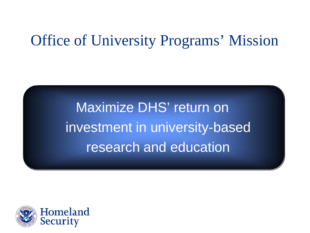## Office of University Programs' Mission

Maximize DHS' return on investment in university-based research and education

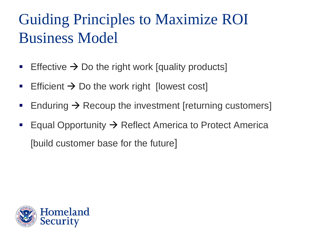## Guiding Principles to Maximize ROI Business Model

- Effective  $\rightarrow$  Do the right work [quality products]
- **Efficient**  $\rightarrow$  **Do the work right [lowest cost]**
- Enduring  $\rightarrow$  Recoup the investment [returning customers]
- **Equal Opportunity**  $\rightarrow$  **Reflect America to Protect America** [build customer base for the future]

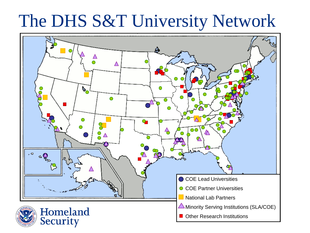## The DHS S&T University Network

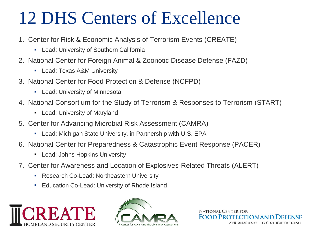## 12 DHS Centers of Excellence

- 1. Center for Risk & Economic Analysis of Terrorism Events (CREATE)
	- **-** Lead: University of Southern California
- 2. National Center for Foreign Animal & Zoonotic Disease Defense (FAZD)
	- **-** Lead: Texas A&M University
- 3. National Center for Food Protection & Defense (NCFPD)
	- **-** Lead: University of Minnesota
- 4. National Consortium for the Study of Terrorism & Responses to Terrorism (START)
	- Lead: University of Maryland
- 5. Center for Advancing Microbial Risk Assessment (CAMRA)
	- Lead: Michigan State University, in Partnership with U.S. EPA
- 6. National Center for Preparedness & Catastrophic Event Response (PACER)
	- **-** Lead: Johns Hopkins University
- 7. Center for Awareness and Location of Explosives-Related Threats (ALERT)
	- **Research Co-Lead: Northeastern University**
	- **Education Co-Lead: University of Rhode Island**





**NATIONAL CENTER FOR FOOD PROTECTION A** A HOMELAND SECURITY CENTER OF EXCELLENCE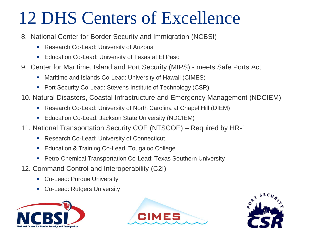## 12 DHS Centers of Excellence

- 8. National Center for Border Security and Immigration (NCBSI)
	- **Research Co-Lead: University of Arizona**
	- **Education Co-Lead: University of Texas at El Paso**
- 9. Center for Maritime, Island and Port Security (MIPS) meets Safe Ports Act
	- Maritime and Islands Co-Lead: University of Hawaii (CIMES)
	- Port Security Co-Lead: Stevens Institute of Technology (CSR)
- 10. Natural Disasters, Coastal Infrastructure and Emergency Management (NDCIEM)
	- Research Co-Lead: University of North Carolina at Chapel Hill (DIEM)
	- **Education Co-Lead: Jackson State University (NDCIEM)**
- 11. National Transportation Security COE (NTSCOE) Required by HR-1
	- **Research Co-Lead: University of Connecticut**
	- **Education & Training Co-Lead: Tougaloo College**
	- Petro-Chemical Transportation Co-Lead: Texas Southern University
- 12. Command Control and Interoperability (C2I)
	- **Co-Lead: Purdue University**
	- Co-Lead: Rutgers University





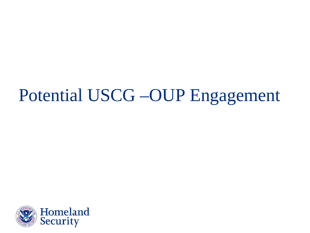## Potential USCG –OUP Engagement

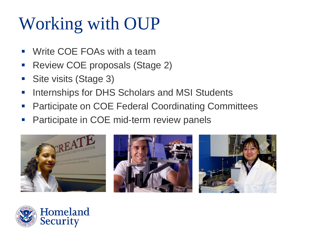## Working with OUP

- Write COE FOAs with a team
- **Review COE proposals (Stage 2)**
- **Site visits (Stage 3)**
- **Internships for DHS Scholars and MSI Students**
- **Participate on COE Federal Coordinating Committees**
- **Participate in COE mid-term review panels**







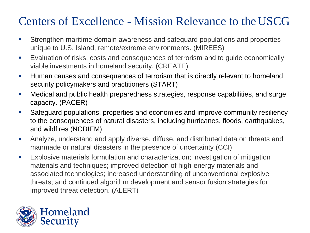### Centers of Excellence - Mission Relevance to theUSCG

- Strengthen maritime domain awareness and safeguard populations and properties unique to U.S. Island, remote/extreme environments. (MIREES)
- **Evaluation of risks, costs and consequences of terrorism and to guide economically** viable investments in homeland security. (CREATE)
- **Human causes and consequences of terrorism that is directly relevant to homeland** security policymakers and practitioners (START)
- Medical and public health preparedness strategies, response capabilities, and surge capacity. (PACER)
- Safeguard populations, properties and economies and improve community resiliency to the consequences of natural disasters, including hurricanes, floods, earthquakes, and wildfires (NCDIEM)
- Analyze, understand and apply diverse, diffuse, and distributed data on threats and manmade or natural disasters in the presence of uncertainty (CCI)
- Explosive materials formulation and characterization; investigation of mitigation materials and techniques; improved detection of high-energy materials and associated technologies; increased understanding of unconventional explosive threats; and continued algorithm development and sensor fusion strategies for improved threat detection. (ALERT)

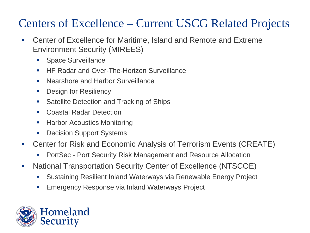### Centers of Excellence – Current USCG Related Projects

- Center of Excellence for Maritime, Island and Remote and Extreme Environment Security (MIREES)
	- **Space Surveillance**
	- **HF Radar and Over-The-Horizon Surveillance**
	- Nearshore and Harbor Surveillance
	- **Design for Resiliency**
	- **Satellite Detection and Tracking of Ships**
	- **E.** Coastal Radar Detection
	- Harbor Acoustics Monitoring
	- **Decision Support Systems**
- Center for Risk and Economic Analysis of Terrorism Events (CREATE)
	- PortSec Port Security Risk Management and Resource Allocation
- National Transportation Security Center of Excellence (NTSCOE)
	- Sustaining Resilient Inland Waterways via Renewable Energy Project
	- Emergency Response via Inland Waterways Project

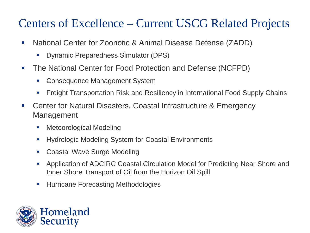### Centers of Excellence – Current USCG Related Projects

- National Center for Zoonotic & Animal Disease Defense (ZADD)
	- Dynamic Preparedness Simulator (DPS)
- The National Center for Food Protection and Defense (NCFPD)
	- Consequence Management System
	- Freight Transportation Risk and Resiliency in International Food Supply Chains
- Center for Natural Disasters, Coastal Infrastructure & Emergency Management
	- **Meteorological Modeling**
	- Hydrologic Modeling System for Coastal Environments
	- Coastal Wave Surge Modeling
	- Application of ADCIRC Coastal Circulation Model for Predicting Near Shore and Inner Shore Transport of Oil from the Horizon Oil Spill
	- **Hurricane Forecasting Methodologies**

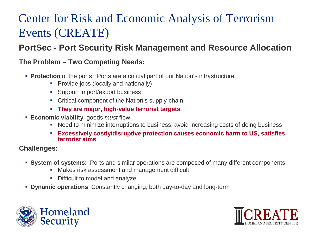### Center for Risk and Economic Analysis of Terrorism Events (CREATE)

#### **PortSec - Port Security Risk Management and Resource Allocation**

#### **The Problem – Two Competing Needs:**

- **Protection** of the ports: Ports are a critical part of our Nation's infrastructure
	- **Provide jobs (locally and nationally)**
	- Support import/export business
	- Critical component of the Nation's supply-chain.
	- **They are major, high-value terrorist targets**
- **Economic viability**: goods *must* flow
	- Need to minimize interruptions to business, avoid increasing costs of doing business
	- **Excessively costly/disruptive protection causes economic harm to US, satisfies terrorist aims**

#### **Challenges:**

- **System of systems**: Ports and similar operations are composed of many different components
	- Makes risk assessment and management difficult
	- Difficult to model and analyze
- **Dynamic operations**: Constantly changing, both day-to-day and long-term



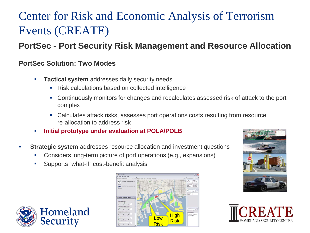### Center for Risk and Economic Analysis of Terrorism Events (CREATE)

#### **PortSec - Port Security Risk Management and Resource Allocation**

#### **PortSec Solution: Two Modes**

- **Tactical system** addresses daily security needs
	- Risk calculations based on collected intelligence
	- Continuously monitors for changes and recalculates assessed risk of attack to the port complex
	- Calculates attack risks, assesses port operations costs resulting from resource re-allocation to address risk
- **Initial prototype under evaluation at POLA/POLB**
- **Strategic system** addresses resource allocation and investment questions
	- Considers long-term picture of port operations (e.g., expansions)
	- Supports "what-if" cost-benefit analysis







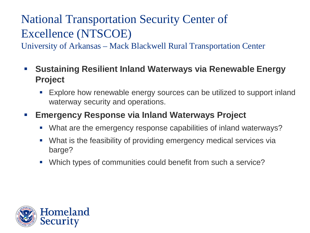### National Transportation Security Center of Excellence (NTSCOE)

University of Arkansas – Mack Blackwell Rural Transportation Center

- **Sustaining Resilient Inland Waterways via Renewable Energy Project**
	- Explore how renewable energy sources can be utilized to support inland waterway security and operations.

#### **Emergency Response via Inland Waterways Project**

- What are the emergency response capabilities of inland waterways?
- What is the feasibility of providing emergency medical services via barge?
- Which types of communities could benefit from such a service?

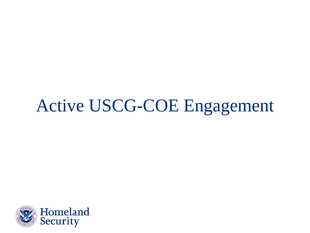## Active USCG-COE Engagement

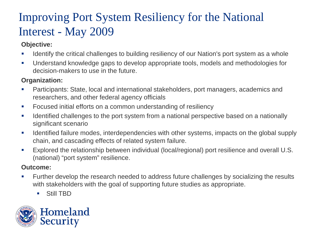### Improving Port System Resiliency for the National Interest - May 2009

#### **Objective:**

- **If all identify the critical challenges to building resiliency of our Nation's port system as a whole**
- Understand knowledge gaps to develop appropriate tools, models and methodologies for decision-makers to use in the future.

#### **Organization:**

- Participants: State, local and international stakeholders, port managers, academics and researchers, and other federal agency officials
- Focused initial efforts on a common understanding of resiliency
- If Identified challenges to the port system from a national perspective based on a nationally significant scenario
- I dentified failure modes, interdependencies with other systems, impacts on the global supply chain, and cascading effects of related system failure.
- Explored the relationship between individual (local/regional) port resilience and overall U.S. (national) "port system" resilience.

#### **Outcome:**

- **Further develop the research needed to address future challenges by socializing the results** with stakeholders with the goal of supporting future studies as appropriate.
	- Still TBD

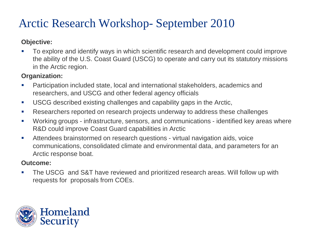### Arctic Research Workshop- September 2010

#### **Objective:**

To explore and identify ways in which scientific research and development could improve the ability of the U.S. Coast Guard (USCG) to operate and carry out its statutory missions in the Arctic region.

#### **Organization:**

- Participation included state, local and international stakeholders, academics and researchers, and USCG and other federal agency officials
- USCG described existing challenges and capability gaps in the Arctic,
- **Researchers reported on research projects underway to address these challenges**
- Working groups infrastructure, sensors, and communications identified key areas where R&D could improve Coast Guard capabilities in Arctic
- Attendees brainstormed on research questions virtual navigation aids, voice communications, consolidated climate and environmental data, and parameters for an Arctic response boat.

#### **Outcome:**

**The USCG and S&T have reviewed and prioritized research areas. Will follow up with** requests for proposals from COEs.

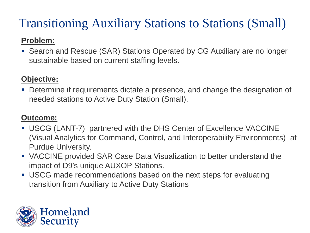## Transitioning Auxiliary Stations to Stations (Small)

#### **Problem:**

 Search and Rescue (SAR) Stations Operated by CG Auxiliary are no longer sustainable based on current staffing levels.

#### **Objective:**

 Determine if requirements dictate a presence, and change the designation of needed stations to Active Duty Station (Small).

#### **Outcome:**

- USCG (LANT-7) partnered with the DHS Center of Excellence VACCINE (Visual Analytics for Command, Control, and Interoperability Environments) at Purdue University.
- VACCINE provided SAR Case Data Visualization to better understand the impact of D9's unique AUXOP Stations.
- USCG made recommendations based on the next steps for evaluating transition from Auxiliary to Active Duty Stations

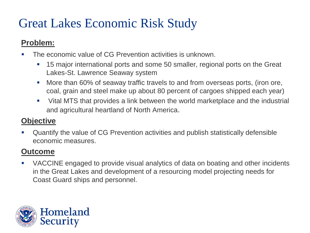### Great Lakes Economic Risk Study

#### **Problem:**

- The economic value of CG Prevention activities is unknown.
	- **15 major international ports and some 50 smaller, regional ports on the Great** Lakes-St. Lawrence Seaway system
	- More than 60% of seaway traffic travels to and from overseas ports, (iron ore, coal, grain and steel make up about 80 percent of cargoes shipped each year)
	- Vital MTS that provides a link between the world marketplace and the industrial and agricultural heartland of North America.

#### **Objective**

 Quantify the value of CG Prevention activities and publish statistically defensible economic measures.

#### **Outcome**

 VACCINE engaged to provide visual analytics of data on boating and other incidents in the Great Lakes and development of a resourcing model projecting needs for Coast Guard ships and personnel.

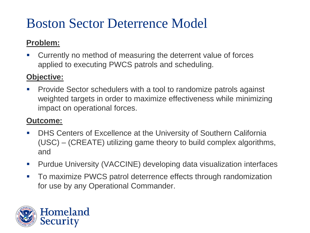## Boston Sector Deterrence Model

#### **Problem:**

 Currently no method of measuring the deterrent value of forces applied to executing PWCS patrols and scheduling.

#### **Objective:**

**Provide Sector schedulers with a tool to randomize patrols against** weighted targets in order to maximize effectiveness while minimizing impact on operational forces.

#### **Outcome:**

- **DHS Centers of Excellence at the University of Southern California** (USC) – (CREATE) utilizing game theory to build complex algorithms, and
- Purdue University (VACCINE) developing data visualization interfaces
- **To maximize PWCS patrol deterrence effects through randomization** for use by any Operational Commander.

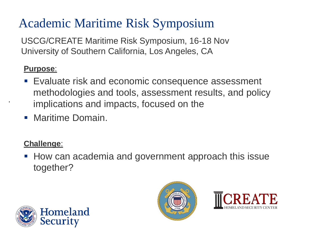## Academic Maritime Risk Symposium

USCG/CREATE Maritime Risk Symposium, 16-18 Nov University of Southern California, Los Angeles, CA

#### **Purpose**:

.

- **Evaluate risk and economic consequence assessment** methodologies and tools, assessment results, and policy implications and impacts, focused on the
- **Maritime Domain.**

#### **Challenge**:

 How can academia and government approach this issue together?





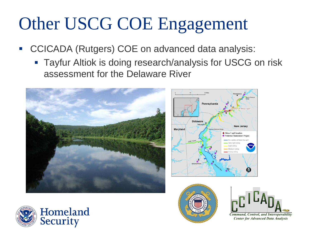## Other USCG COE Engagement

- CCICADA (Rutgers) COE on advanced data analysis:
	- **Tayfur Altiok is doing research/analysis for USCG on risk** assessment for the Delaware River





ଇ

**Center for Advanced Data Analysis** 

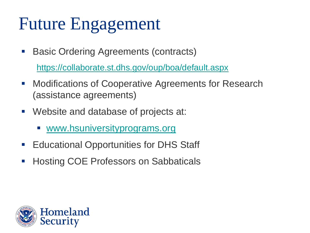## Future Engagement

**Basic Ordering Agreements (contracts)** 

<https://collaborate.st.dhs.gov/oup/boa/default.aspx>

- **Modifications of Cooperative Agreements for Research** (assistance agreements)
- Website and database of projects at:
	- **WWW.hsuniversityprograms.org**
- **Educational Opportunities for DHS Staff**
- **Hosting COE Professors on Sabbaticals**